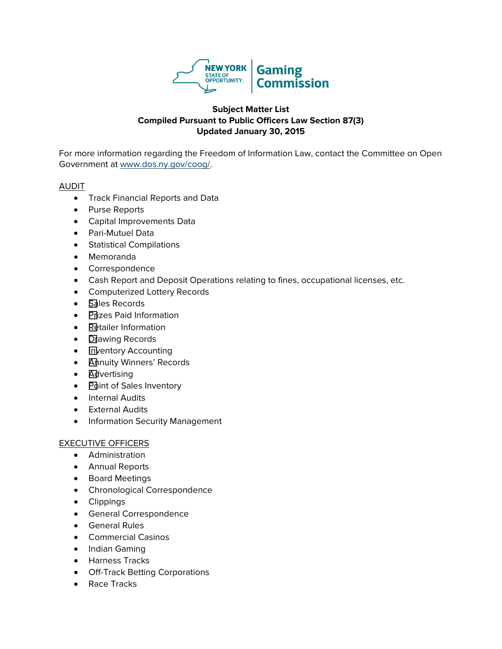

# **Subject Matter List Compiled Pursuant to Public Officers Law Section 87(3) Updated January 30, 2015**

For more information regarding the Freedom of Information Law, contact the Committee on Open Government at [www.dos.ny.gov/coog/.](http://www.dos.ny.gov/coog/)

### AUDIT

- Track Financial Reports and Data
- Purse Reports
- Capital Improvements Data
- Pari-Mutuel Data
- Statistical Compilations
- Memoranda
- Correspondence
- Cash Report and Deposit Operations relating to fines, occupational licenses, etc.
- Computerized Lottery Records
- **Sales Records**
- Prizes Paid Information
- Retailer Information
- **Drawing Records**
- **Inventory Accounting**
- **Annuity Winners' Records**
- **Advertising**
- Point of Sales Inventory
- Internal Audits
- External Audits
- Information Security Management

# EXECUTIVE OFFICERS

- Administration
- Annual Reports
- Board Meetings
- Chronological Correspondence
- Clippings
- General Correspondence
- General Rules
- Commercial Casinos
- Indian Gaming
- Harness Tracks
- Off-Track Betting Corporations
- Race Tracks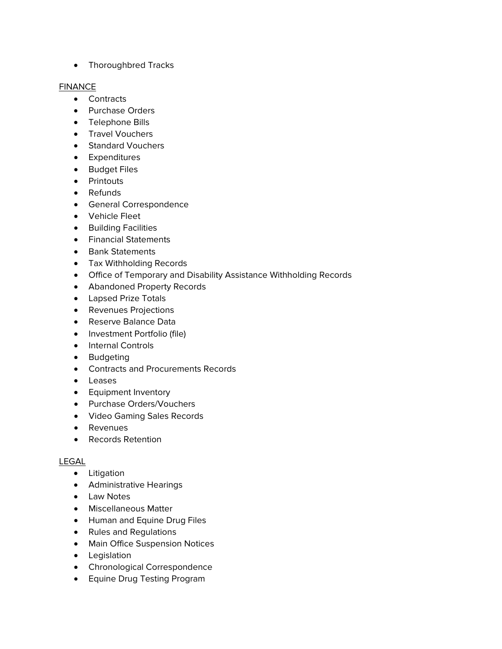• Thoroughbred Tracks

### **FINANCE**

- Contracts
- Purchase Orders
- Telephone Bills
- Travel Vouchers
- Standard Vouchers
- Expenditures
- Budget Files
- Printouts
- Refunds
- General Correspondence
- Vehicle Fleet
- Building Facilities
- Financial Statements
- Bank Statements
- Tax Withholding Records
- Office of Temporary and Disability Assistance Withholding Records
- Abandoned Property Records
- Lapsed Prize Totals
- Revenues Projections
- Reserve Balance Data
- Investment Portfolio (file)
- Internal Controls
- Budgeting
- Contracts and Procurements Records
- Leases
- Equipment Inventory
- Purchase Orders/Vouchers
- Video Gaming Sales Records
- Revenues
- Records Retention

# LEGAL

- Litigation
- Administrative Hearings
- Law Notes
- Miscellaneous Matter
- Human and Equine Drug Files
- Rules and Regulations
- Main Office Suspension Notices
- Legislation
- Chronological Correspondence
- Equine Drug Testing Program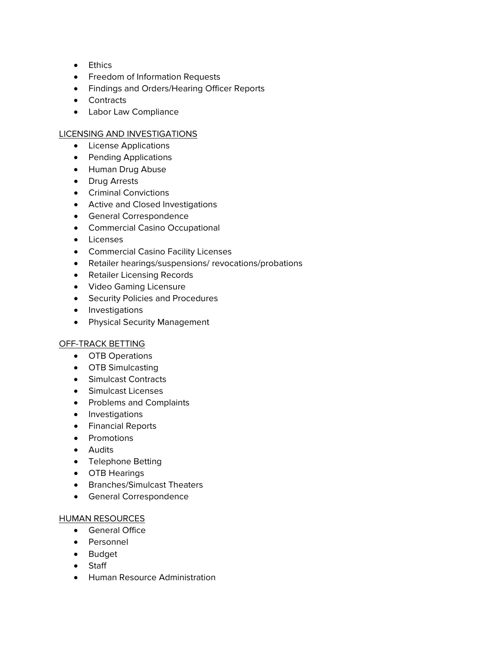- Ethics
- Freedom of Information Requests
- Findings and Orders/Hearing Officer Reports
- Contracts
- Labor Law Compliance

# LICENSING AND INVESTIGATIONS

- License Applications
- Pending Applications
- Human Drug Abuse
- Drug Arrests
- Criminal Convictions
- Active and Closed Investigations
- General Correspondence
- Commercial Casino Occupational
- Licenses
- Commercial Casino Facility Licenses
- Retailer hearings/suspensions/ revocations/probations
- Retailer Licensing Records
- Video Gaming Licensure
- Security Policies and Procedures
- Investigations
- Physical Security Management

# OFF-TRACK BETTING

- OTB Operations
- OTB Simulcasting
- Simulcast Contracts
- Simulcast Licenses
- Problems and Complaints
- Investigations
- Financial Reports
- Promotions
- Audits
- Telephone Betting
- OTB Hearings
- Branches/Simulcast Theaters
- General Correspondence

#### HUMAN RESOURCES

- General Office
- Personnel
- Budget
- Staff
- Human Resource Administration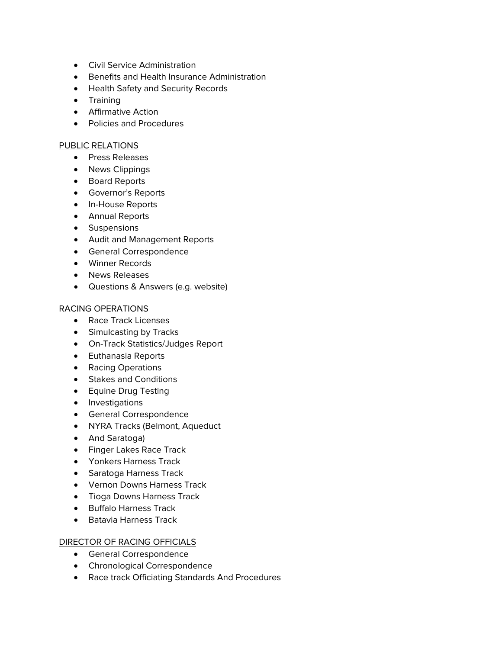- Civil Service Administration
- Benefits and Health Insurance Administration
- Health Safety and Security Records
- Training
- Affirmative Action
- Policies and Procedures

#### PUBLIC RELATIONS

- Press Releases
- News Clippings
- Board Reports
- Governor's Reports
- In-House Reports
- Annual Reports
- Suspensions
- Audit and Management Reports
- General Correspondence
- Winner Records
- News Releases
- Questions & Answers (e.g. website)

#### RACING OPERATIONS

- Race Track Licenses
- Simulcasting by Tracks
- On-Track Statistics/Judges Report
- Euthanasia Reports
- Racing Operations
- Stakes and Conditions
- Equine Drug Testing
- Investigations
- General Correspondence
- NYRA Tracks (Belmont, Aqueduct
- And Saratoga)
- Finger Lakes Race Track
- Yonkers Harness Track
- Saratoga Harness Track
- Vernon Downs Harness Track
- Tioga Downs Harness Track
- Buffalo Harness Track
- Batavia Harness Track

#### DIRECTOR OF RACING OFFICIALS

- General Correspondence
- Chronological Correspondence
- Race track Officiating Standards And Procedures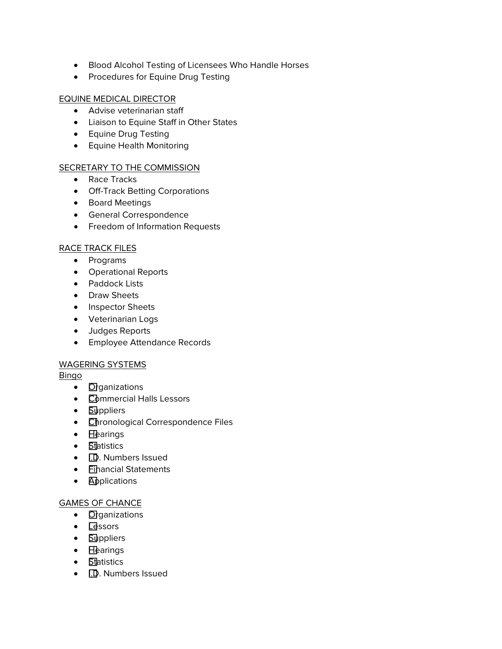- Blood Alcohol Testing of Licensees Who Handle Horses
- Procedures for Equine Drug Testing

## EQUINE MEDICAL DIRECTOR

- Advise veterinarian staff
- Liaison to Equine Staff in Other States
- Equine Drug Testing
- Equine Health Monitoring

### SECRETARY TO THE COMMISSION

- Race Tracks
- Off-Track Betting Corporations
- Board Meetings
- General Correspondence
- Freedom of Information Requests

## RACE TRACK FILES

- Programs
- Operational Reports
- Paddock Lists
- Draw Sheets
- Inspector Sheets
- Veterinarian Logs
- Judges Reports
- Employee Attendance Records

#### WAGERING SYSTEMS

#### Bingo

- **Organizations**
- Commercial Halls Lessors
- **Suppliers**
- **Chronological Correspondence Files**
- Hearings
- **Statistics**
- **I.D.** Numbers Issued
- **Financial Statements**
- Applications

#### GAMES OF CHANCE

- **Organizations**
- **Lessors**
- **Suppliers**
- Hearings
- $\bullet$  Statistics
- **I.D.** Numbers Issued